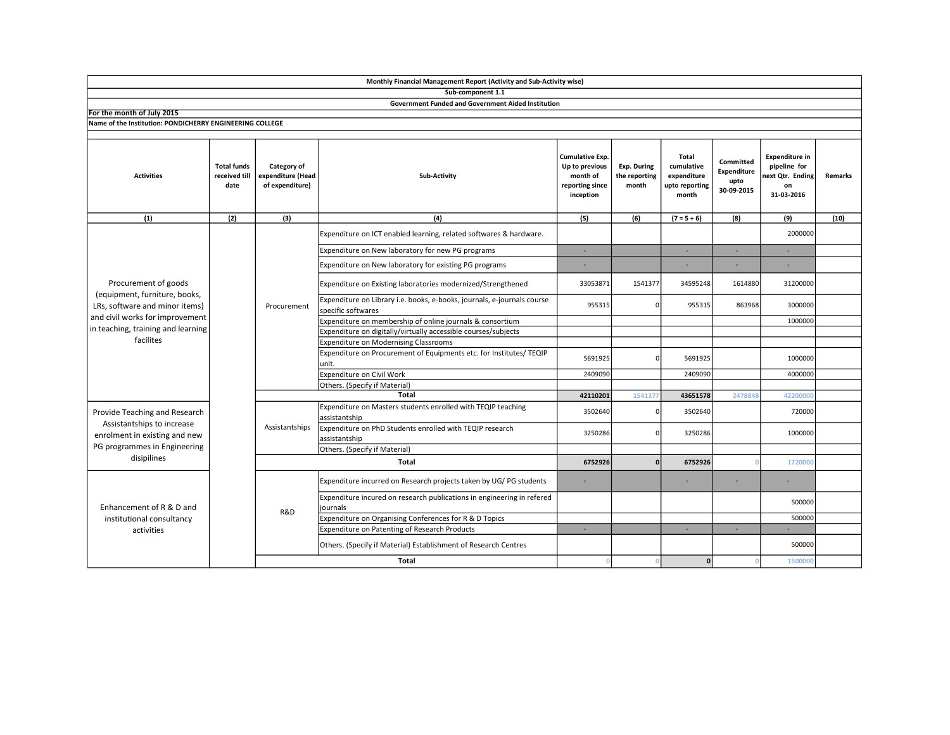|                                                                                                                                                                               |                                             |                                                     | Sub-component 1.1                                                                             |                                                                                      |                                       |                                                               |                                                       |                                                                               |                |
|-------------------------------------------------------------------------------------------------------------------------------------------------------------------------------|---------------------------------------------|-----------------------------------------------------|-----------------------------------------------------------------------------------------------|--------------------------------------------------------------------------------------|---------------------------------------|---------------------------------------------------------------|-------------------------------------------------------|-------------------------------------------------------------------------------|----------------|
|                                                                                                                                                                               |                                             |                                                     | Government Funded and Government Aided Institution                                            |                                                                                      |                                       |                                                               |                                                       |                                                                               |                |
| For the month of July 2015                                                                                                                                                    |                                             |                                                     |                                                                                               |                                                                                      |                                       |                                                               |                                                       |                                                                               |                |
| Name of the Institution: PONDICHERRY ENGINEERING COLLEGE                                                                                                                      |                                             |                                                     |                                                                                               |                                                                                      |                                       |                                                               |                                                       |                                                                               |                |
|                                                                                                                                                                               |                                             |                                                     |                                                                                               |                                                                                      |                                       |                                                               |                                                       |                                                                               |                |
| <b>Activities</b>                                                                                                                                                             | <b>Total funds</b><br>received till<br>date | Category of<br>expenditure (Head<br>of expenditure) | Sub-Activity                                                                                  | <b>Cumulative Exp.</b><br>Up to previous<br>month of<br>reporting since<br>inception | Exp. During<br>the reporting<br>month | Total<br>cumulative<br>expenditure<br>upto reporting<br>month | Committed<br><b>Expenditure</b><br>upto<br>30-09-2015 | <b>Expenditure in</b><br>pipeline for<br>next Qtr. Ending<br>on<br>31-03-2016 | <b>Remarks</b> |
| (1)                                                                                                                                                                           | (2)                                         | (3)                                                 | (4)                                                                                           | (5)                                                                                  | (6)                                   | $(7 = 5 + 6)$                                                 | (8)                                                   | (9)                                                                           | (10)           |
| Procurement of goods<br>(equipment, furniture, books,<br>LRs, software and minor items)<br>and civil works for improvement<br>in teaching, training and learning<br>facilites |                                             | Procurement                                         | Expenditure on ICT enabled learning, related softwares & hardware.                            |                                                                                      |                                       |                                                               |                                                       | 2000000                                                                       |                |
|                                                                                                                                                                               |                                             |                                                     | Expenditure on New laboratory for new PG programs                                             | $\sim$                                                                               |                                       | $\sim$                                                        | ×.                                                    | ×                                                                             |                |
|                                                                                                                                                                               |                                             |                                                     | Expenditure on New laboratory for existing PG programs                                        |                                                                                      |                                       |                                                               |                                                       |                                                                               |                |
|                                                                                                                                                                               |                                             |                                                     | Expenditure on Existing laboratories modernized/Strengthened                                  | 33053871                                                                             | 1541377                               | 34595248                                                      | 1614880                                               | 31200000                                                                      |                |
|                                                                                                                                                                               |                                             |                                                     | Expenditure on Library i.e. books, e-books, journals, e-journals course<br>specific softwares | 955315                                                                               | U                                     | 955315                                                        | 863968                                                | 3000000                                                                       |                |
|                                                                                                                                                                               |                                             |                                                     | Expenditure on membership of online journals & consortium                                     |                                                                                      |                                       |                                                               |                                                       | 1000000                                                                       |                |
|                                                                                                                                                                               |                                             |                                                     | Expenditure on digitally/virtually accessible courses/subjects                                |                                                                                      |                                       |                                                               |                                                       |                                                                               |                |
|                                                                                                                                                                               |                                             |                                                     | Expenditure on Modernising Classrooms                                                         |                                                                                      |                                       |                                                               |                                                       |                                                                               |                |
|                                                                                                                                                                               |                                             |                                                     | Expenditure on Procurement of Equipments etc. for Institutes/ TEQIP<br>unit.                  | 5691925                                                                              | ŋ                                     | 5691925                                                       |                                                       | 1000000                                                                       |                |
|                                                                                                                                                                               |                                             |                                                     | Expenditure on Civil Work                                                                     | 2409090                                                                              |                                       | 2409090                                                       |                                                       | 4000000                                                                       |                |
|                                                                                                                                                                               |                                             |                                                     | Others. (Specify if Material)                                                                 |                                                                                      |                                       |                                                               |                                                       |                                                                               |                |
|                                                                                                                                                                               |                                             |                                                     | <b>Total</b>                                                                                  | 42110201                                                                             | 154137                                | 43651578                                                      | 2478848                                               | 42200000                                                                      |                |
| Provide Teaching and Research<br>Assistantships to increase<br>enrolment in existing and new<br>PG programmes in Engineering<br>disipilines                                   |                                             | Assistantships                                      | Expenditure on Masters students enrolled with TEQIP teaching<br>assistantship                 | 3502640                                                                              | ŋ                                     | 3502640                                                       |                                                       | 720000                                                                        |                |
|                                                                                                                                                                               |                                             |                                                     | Expenditure on PhD Students enrolled with TEQIP research<br>assistantship                     | 3250286                                                                              |                                       | 3250286                                                       |                                                       | 1000000                                                                       |                |
|                                                                                                                                                                               |                                             |                                                     | Others. (Specify if Material)                                                                 |                                                                                      |                                       |                                                               |                                                       |                                                                               |                |
|                                                                                                                                                                               |                                             | <b>Total</b>                                        |                                                                                               | 6752926                                                                              | n                                     | 6752926                                                       |                                                       | 1720000                                                                       |                |
| Enhancement of R & D and<br>institutional consultancy<br>activities                                                                                                           |                                             | R&D                                                 | Expenditure incurred on Research projects taken by UG/ PG students                            |                                                                                      |                                       |                                                               |                                                       |                                                                               |                |
|                                                                                                                                                                               |                                             |                                                     | Expenditure incured on research publications in engineering in refered<br>journals            |                                                                                      |                                       |                                                               |                                                       | 500000                                                                        |                |
|                                                                                                                                                                               |                                             |                                                     | Expenditure on Organising Conferences for R & D Topics                                        |                                                                                      |                                       |                                                               |                                                       | 500000                                                                        |                |
|                                                                                                                                                                               |                                             |                                                     | Expenditure on Patenting of Research Products                                                 | ×.                                                                                   |                                       |                                                               | $\sim$                                                |                                                                               |                |
|                                                                                                                                                                               |                                             |                                                     | Others. (Specify if Material) Establishment of Research Centres                               |                                                                                      |                                       |                                                               |                                                       | 500000                                                                        |                |
|                                                                                                                                                                               |                                             |                                                     | <b>Total</b>                                                                                  | $\Omega$                                                                             |                                       | 0                                                             |                                                       | 1500000                                                                       |                |

Monthly Financial Management Report (Activity and Sub-Activity wise)